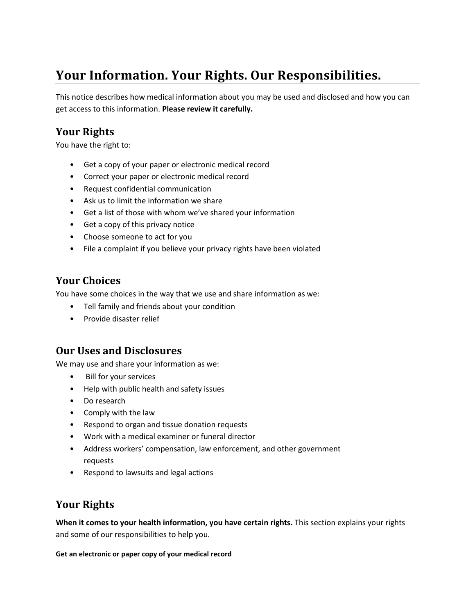# **Your Information. Your Rights. Our Responsibilities.**

This notice describes how medical information about you may be used and disclosed and how you can get access to this information. **Please review it carefully.**

## **Your Rights**

You have the right to:

- Get a copy of your paper or electronic medical record
- Correct your paper or electronic medical record
- Request confidential communication
- Ask us to limit the information we share
- Get a list of those with whom we've shared your information
- Get a copy of this privacy notice
- Choose someone to act for you
- File a complaint if you believe your privacy rights have been violated

## **Your Choices**

You have some choices in the way that we use and share information as we:

- Tell family and friends about your condition
- Provide disaster relief

## **Our Uses and Disclosures**

We may use and share your information as we:

- Bill for your services
- Help with public health and safety issues
- Do research
- Comply with the law
- Respond to organ and tissue donation requests
- Work with a medical examiner or funeral director
- Address workers' compensation, law enforcement, and other government requests
- Respond to lawsuits and legal actions

## **Your Rights**

**When it comes to your health information, you have certain rights.** This section explains your rights and some of our responsibilities to help you.

**Get an electronic or paper copy of your medical record**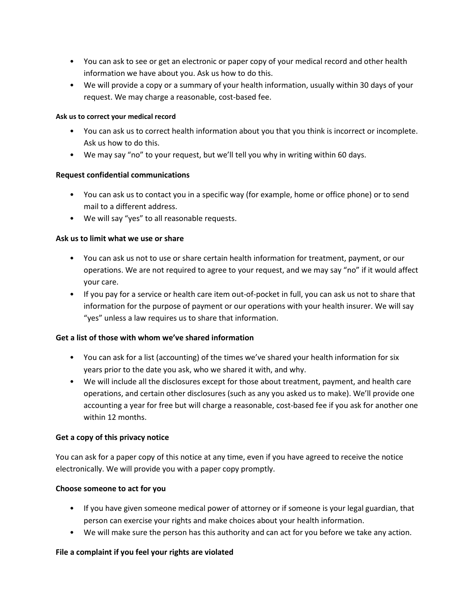- You can ask to see or get an electronic or paper copy of your medical record and other health information we have about you. Ask us how to do this.
- We will provide a copy or a summary of your health information, usually within 30 days of your request. We may charge a reasonable, cost-based fee.

### **Ask us to correct your medical record**

- You can ask us to correct health information about you that you think is incorrect or incomplete. Ask us how to do this.
- We may say "no" to your request, but we'll tell you why in writing within 60 days.

## **Request confidential communications**

- You can ask us to contact you in a specific way (for example, home or office phone) or to send mail to a different address.
- We will say "yes" to all reasonable requests.

## **Ask us to limit what we use or share**

- You can ask us not to use or share certain health information for treatment, payment, or our operations. We are not required to agree to your request, and we may say "no" if it would affect your care.
- If you pay for a service or health care item out-of-pocket in full, you can ask us not to share that information for the purpose of payment or our operations with your health insurer. We will say "yes" unless a law requires us to share that information.

## **Get a list of those with whom we've shared information**

- You can ask for a list (accounting) of the times we've shared your health information for six years prior to the date you ask, who we shared it with, and why.
- We will include all the disclosures except for those about treatment, payment, and health care operations, and certain other disclosures (such as any you asked us to make). We'll provide one accounting a year for free but will charge a reasonable, cost-based fee if you ask for another one within 12 months.

### **Get a copy of this privacy notice**

You can ask for a paper copy of this notice at any time, even if you have agreed to receive the notice electronically. We will provide you with a paper copy promptly.

## **Choose someone to act for you**

- If you have given someone medical power of attorney or if someone is your legal guardian, that person can exercise your rights and make choices about your health information.
- We will make sure the person has this authority and can act for you before we take any action.

### **File a complaint if you feel your rights are violated**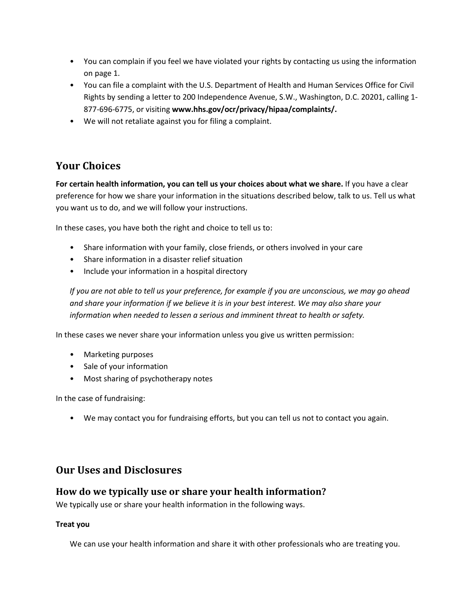- You can complain if you feel we have violated your rights by contacting us using the information on page 1.
- You can file a complaint with the U.S. Department of Health and Human Services Office for Civil Rights by sending a letter to 200 Independence Avenue, S.W., Washington, D.C. 20201, calling 1- 877-696-6775, or visiting **www.hhs.gov/ocr/privacy/hipaa/complaints/.**
- We will not retaliate against you for filing a complaint.

## **Your Choices**

**For certain health information, you can tell us your choices about what we share.** If you have a clear preference for how we share your information in the situations described below, talk to us. Tell us what you want us to do, and we will follow your instructions.

In these cases, you have both the right and choice to tell us to:

- Share information with your family, close friends, or others involved in your care
- Share information in a disaster relief situation
- Include your information in a hospital directory

*If you are not able to tell us your preference, for example if you are unconscious, we may go ahead and share your information if we believe it is in your best interest. We may also share your information when needed to lessen a serious and imminent threat to health or safety.*

In these cases we never share your information unless you give us written permission:

- Marketing purposes
- Sale of your information
- Most sharing of psychotherapy notes

In the case of fundraising:

• We may contact you for fundraising efforts, but you can tell us not to contact you again.

## **Our Uses and Disclosures**

## **How do we typically use or share your health information?**

We typically use or share your health information in the following ways.

### **Treat you**

We can use your health information and share it with other professionals who are treating you.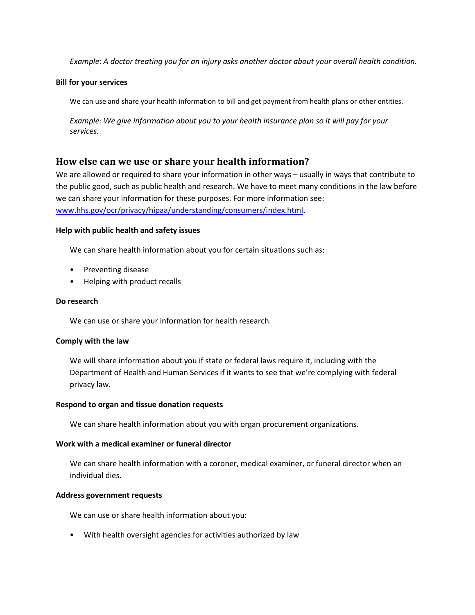*Example: A doctor treating you for an injury asks another doctor about your overall health condition.*

#### **Bill for your services**

We can use and share your health information to bill and get payment from health plans or other entities.

*Example: We give information about you to your health insurance plan so it will pay for your services.* 

## **How else can we use or share your health information?**

We are allowed or required to share your information in other ways – usually in ways that contribute to the public good, such as public health and research. We have to meet many conditions in the law before we can share your information for these purposes. For more information see: [www.hhs.gov/ocr/privacy/hipaa/understanding/consumers/index.html](http://www.hhs.gov/ocr/privacy/hipaa/understanding/consumers/index.html)**.**

### **Help with public health and safety issues**

We can share health information about you for certain situations such as:

- Preventing disease
- Helping with product recalls

#### **Do research**

We can use or share your information for health research.

#### **Comply with the law**

We will share information about you if state or federal laws require it, including with the Department of Health and Human Services if it wants to see that we're complying with federal privacy law.

#### **Respond to organ and tissue donation requests**

We can share health information about you with organ procurement organizations.

## **Work with a medical examiner or funeral director**

We can share health information with a coroner, medical examiner, or funeral director when an individual dies.

#### **Address government requests**

We can use or share health information about you:

• With health oversight agencies for activities authorized by law